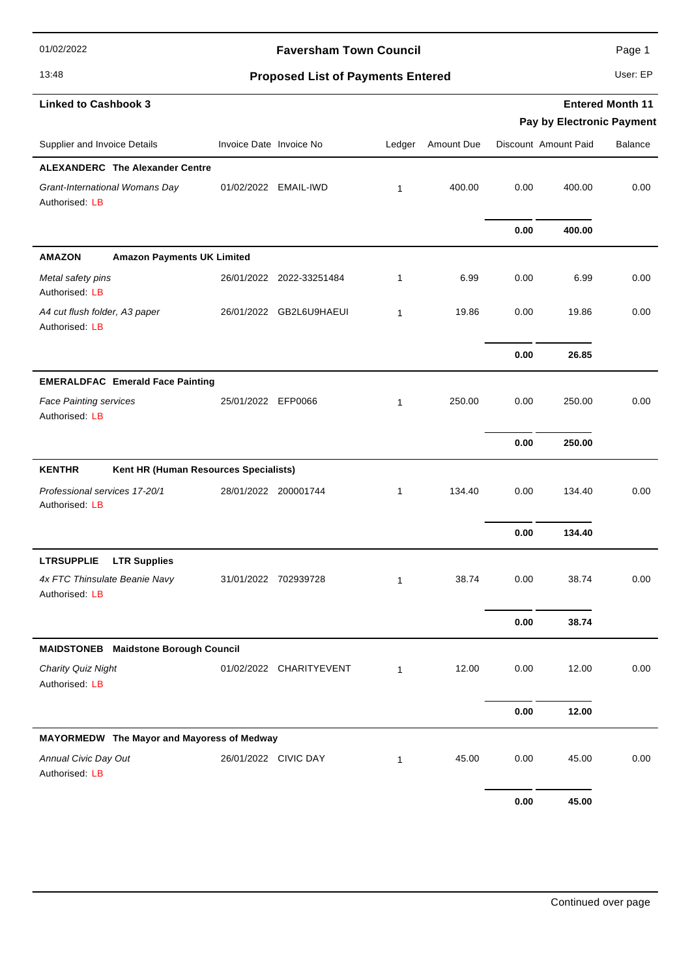01/02/2022

#### **Faversham Town Council Page 1**

### 13:48 **Proposed List of Payments Entered** User: EP

|                                                  |                                             |                         |                          |              |            | Pay by Electronic Payment |                      |                |
|--------------------------------------------------|---------------------------------------------|-------------------------|--------------------------|--------------|------------|---------------------------|----------------------|----------------|
| Supplier and Invoice Details                     |                                             | Invoice Date Invoice No |                          | Ledger       | Amount Due |                           | Discount Amount Paid | <b>Balance</b> |
|                                                  | <b>ALEXANDERC The Alexander Centre</b>      |                         |                          |              |            |                           |                      |                |
| Grant-International Womans Day<br>Authorised: LB |                                             |                         | 01/02/2022 EMAIL-IWD     | $\mathbf{1}$ | 400.00     | 0.00                      | 400.00               | 0.00           |
|                                                  |                                             |                         |                          |              |            | 0.00                      | 400.00               |                |
| <b>AMAZON</b>                                    | <b>Amazon Payments UK Limited</b>           |                         |                          |              |            |                           |                      |                |
| Metal safety pins<br>Authorised: LB              |                                             |                         | 26/01/2022 2022-33251484 | 1            | 6.99       | 0.00                      | 6.99                 | 0.00           |
| A4 cut flush folder, A3 paper<br>Authorised: LB  |                                             |                         | 26/01/2022 GB2L6U9HAEUI  | $\mathbf{1}$ | 19.86      | 0.00                      | 19.86                | 0.00           |
|                                                  |                                             |                         |                          |              |            | 0.00                      | 26.85                |                |
|                                                  | <b>EMERALDFAC Emerald Face Painting</b>     |                         |                          |              |            |                           |                      |                |
| <b>Face Painting services</b><br>Authorised: LB  |                                             | 25/01/2022 EFP0066      |                          | 1            | 250.00     | 0.00                      | 250.00               | 0.00           |
|                                                  |                                             |                         |                          |              |            | 0.00                      | 250.00               |                |
| <b>KENTHR</b>                                    | Kent HR (Human Resources Specialists)       |                         |                          |              |            |                           |                      |                |
| Professional services 17-20/1<br>Authorised: LB  |                                             | 28/01/2022 200001744    |                          | 1            | 134.40     | 0.00                      | 134.40               | 0.00           |
|                                                  |                                             |                         |                          |              |            | 0.00                      | 134.40               |                |
| <b>LTRSUPPLIE</b>                                | <b>LTR Supplies</b>                         |                         |                          |              |            |                           |                      |                |
| 4x FTC Thinsulate Beanie Navy<br>Authorised: LB  |                                             | 31/01/2022              | 702939728                | $\mathbf{1}$ | 38.74      | 0.00                      | 38.74                | 0.00           |
|                                                  |                                             |                         |                          |              |            | 0.00                      | 38.74                |                |
|                                                  | <b>MAIDSTONEB</b> Maidstone Borough Council |                         |                          |              |            |                           |                      |                |
| Charity Quiz Night<br>Authorised: LB             |                                             |                         | 01/02/2022 CHARITYEVENT  | $\mathbf{1}$ | 12.00      | 0.00                      | 12.00                | 0.00           |
|                                                  |                                             |                         |                          |              |            | 0.00                      | 12.00                |                |
|                                                  | MAYORMEDW The Mayor and Mayoress of Medway  |                         |                          |              |            |                           |                      |                |
| Annual Civic Day Out<br>Authorised: LB           |                                             |                         | 26/01/2022 CIVIC DAY     | $\mathbf{1}$ | 45.00      | 0.00                      | 45.00                | 0.00           |
|                                                  |                                             |                         |                          |              |            | 0.00                      | 45.00                |                |

**Entered Month 11**

**Linked to Cashbook 3**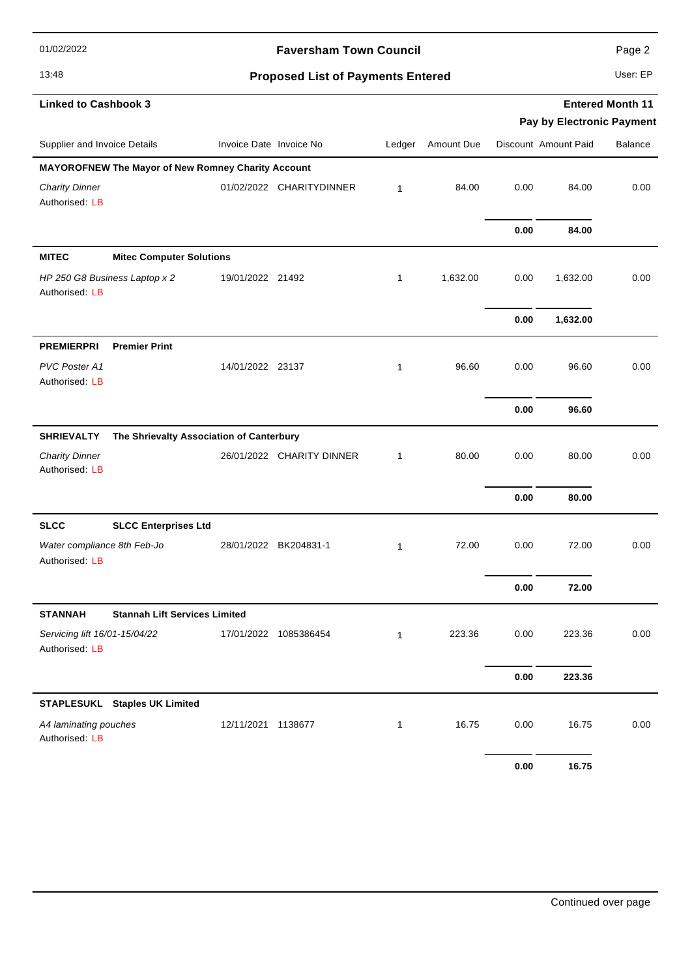01/02/2022

### **Faversham Town Council Page 2** Page 2

# 13:48 **Proposed List of Payments Entered** User: EP

| <b>Linked to Cashbook 3</b>                                   |                         |                           |              |            | <b>Entered Month 11</b><br>Pay by Electronic Payment |                      |                |  |
|---------------------------------------------------------------|-------------------------|---------------------------|--------------|------------|------------------------------------------------------|----------------------|----------------|--|
| Supplier and Invoice Details                                  | Invoice Date Invoice No |                           | Ledger       | Amount Due |                                                      | Discount Amount Paid | <b>Balance</b> |  |
| MAYOROFNEW The Mayor of New Romney Charity Account            |                         |                           |              |            |                                                      |                      |                |  |
| <b>Charity Dinner</b><br>Authorised: LB                       |                         | 01/02/2022 CHARITYDINNER  | $\mathbf{1}$ | 84.00      | 0.00                                                 | 84.00                | 0.00           |  |
|                                                               |                         |                           |              |            | 0.00                                                 | 84.00                |                |  |
| <b>MITEC</b><br><b>Mitec Computer Solutions</b>               |                         |                           |              |            |                                                      |                      |                |  |
| HP 250 G8 Business Laptop x 2<br>Authorised: LB               | 19/01/2022 21492        |                           | $\mathbf{1}$ | 1,632.00   | 0.00                                                 | 1,632.00             | 0.00           |  |
|                                                               |                         |                           |              |            | 0.00                                                 | 1,632.00             |                |  |
| <b>PREMIERPRI</b><br><b>Premier Print</b>                     |                         |                           |              |            |                                                      |                      |                |  |
| PVC Poster A1<br>Authorised: LB                               | 14/01/2022 23137        |                           | $\mathbf{1}$ | 96.60      | 0.00                                                 | 96.60                | 0.00           |  |
|                                                               |                         |                           |              |            | 0.00                                                 | 96.60                |                |  |
| <b>SHRIEVALTY</b><br>The Shrievalty Association of Canterbury |                         |                           |              |            |                                                      |                      |                |  |
| <b>Charity Dinner</b><br>Authorised: LB                       |                         | 26/01/2022 CHARITY DINNER | 1            | 80.00      | 0.00                                                 | 80.00                | 0.00           |  |
|                                                               |                         |                           |              |            | 0.00                                                 | 80.00                |                |  |
| <b>SLCC</b><br><b>SLCC Enterprises Ltd</b>                    |                         |                           |              |            |                                                      |                      |                |  |
| Water compliance 8th Feb-Jo<br>Authorised: LB                 |                         | 28/01/2022 BK204831-1     | $\mathbf{1}$ | 72.00      | 0.00                                                 | 72.00                | 0.00           |  |
|                                                               |                         |                           |              |            | 0.00                                                 | 72.00                |                |  |
| <b>STANNAH</b><br><b>Stannah Lift Services Limited</b>        |                         |                           |              |            |                                                      |                      |                |  |
| Servicing lift 16/01-15/04/22<br>Authorised: LB               |                         | 17/01/2022 1085386454     | 1            | 223.36     | 0.00                                                 | 223.36               | 0.00           |  |
|                                                               |                         |                           |              |            | 0.00                                                 | 223.36               |                |  |
| STAPLESUKL Staples UK Limited                                 |                         |                           |              |            |                                                      |                      |                |  |
| A4 laminating pouches<br>Authorised: LB                       | 12/11/2021 1138677      |                           | 1            | 16.75      | 0.00                                                 | 16.75                | 0.00           |  |
|                                                               |                         |                           |              |            | 0.00                                                 | 16.75                |                |  |